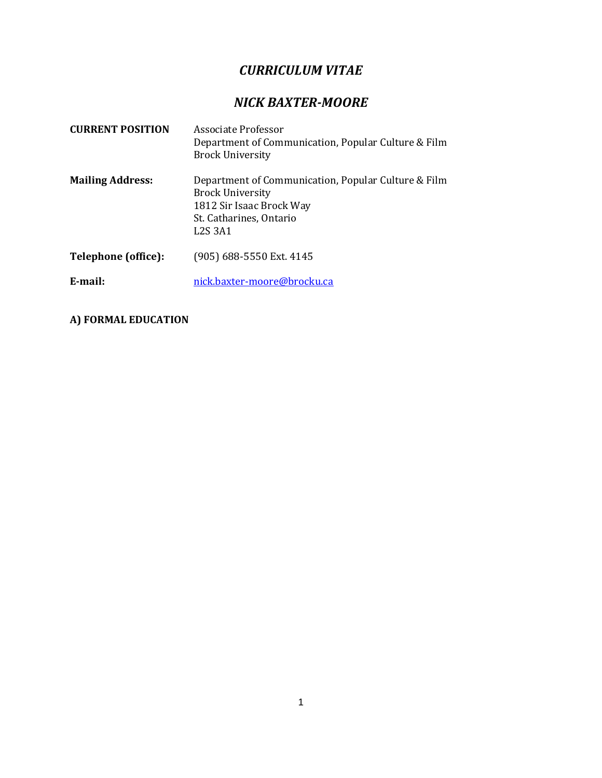# *CURRICULUM VITAE*

# *NICK BAXTER-MOORE*

| <b>CURRENT POSITION</b> | Associate Professor<br>Department of Communication, Popular Culture & Film<br><b>Brock University</b>                                                                                 |
|-------------------------|---------------------------------------------------------------------------------------------------------------------------------------------------------------------------------------|
| <b>Mailing Address:</b> | Department of Communication, Popular Culture & Film<br><b>Brock University</b><br>1812 Sir Isaac Brock Way<br>St. Catharines, Ontario<br>L <sub>2</sub> S <sub>3</sub> A <sub>1</sub> |
| Telephone (office):     | (905) 688-5550 Ext. 4145                                                                                                                                                              |
| E-mail:                 | nick.baxter-moore@brocku.ca                                                                                                                                                           |

**A) FORMAL EDUCATION**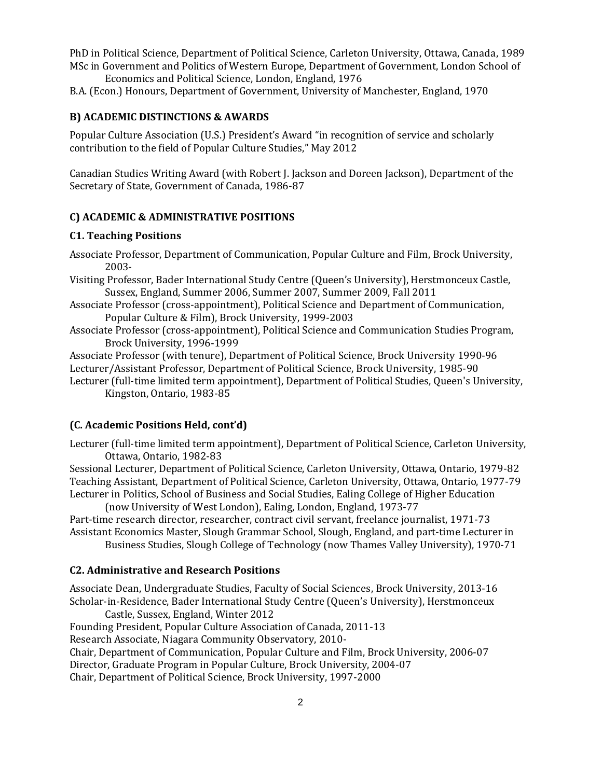PhD in Political Science, Department of Political Science, Carleton University, Ottawa, Canada, 1989 MSc in Government and Politics of Western Europe, Department of Government, London School of

Economics and Political Science, London, England, 1976 B.A. (Econ.) Honours, Department of Government, University of Manchester, England, 1970

### **B) ACADEMIC DISTINCTIONS & AWARDS**

Popular Culture Association (U.S.) President's Award "in recognition of service and scholarly contribution to the field of Popular Culture Studies," May 2012

Canadian Studies Writing Award (with Robert J. Jackson and Doreen Jackson), Department of the Secretary of State, Government of Canada, 1986-87

#### **C) ACADEMIC & ADMINISTRATIVE POSITIONS**

#### **C1. Teaching Positions**

- Associate Professor, Department of Communication, Popular Culture and Film, Brock University, 2003-
- Visiting Professor, Bader International Study Centre (Queen's University), Herstmonceux Castle, Sussex, England, Summer 2006, Summer 2007, Summer 2009, Fall 2011
- Associate Professor (cross-appointment), Political Science and Department of Communication, Popular Culture & Film), Brock University, 1999-2003
- Associate Professor (cross-appointment), Political Science and Communication Studies Program, Brock University, 1996-1999
- Associate Professor (with tenure), Department of Political Science, Brock University 1990-96
- Lecturer/Assistant Professor, Department of Political Science, Brock University, 1985-90
- Lecturer (full-time limited term appointment), Department of Political Studies, Queen's University, Kingston, Ontario, 1983-85

#### **(C. Academic Positions Held, cont'd)**

Lecturer (full-time limited term appointment), Department of Political Science, Carleton University, Ottawa, Ontario, 1982-83

Sessional Lecturer, Department of Political Science, Carleton University, Ottawa, Ontario, 1979-82 Teaching Assistant, Department of Political Science, Carleton University, Ottawa, Ontario, 1977-79 Lecturer in Politics, School of Business and Social Studies, Ealing College of Higher Education

(now University of West London), Ealing, London, England, 1973-77 Part-time research director, researcher, contract civil servant, freelance journalist, 1971-73 Assistant Economics Master, Slough Grammar School, Slough, England, and part-time Lecturer in

Business Studies, Slough College of Technology (now Thames Valley University), 1970-71

#### **C2. Administrative and Research Positions**

Associate Dean, Undergraduate Studies, Faculty of Social Sciences, Brock University, 2013-16 Scholar-in-Residence, Bader International Study Centre (Queen's University), Herstmonceux

Castle, Sussex, England, Winter 2012

Founding President, Popular Culture Association of Canada, 2011-13

Research Associate, Niagara Community Observatory, 2010-

Chair, Department of Communication, Popular Culture and Film, Brock University, 2006-07 Director, Graduate Program in Popular Culture, Brock University, 2004-07

Chair, Department of Political Science, Brock University, 1997-2000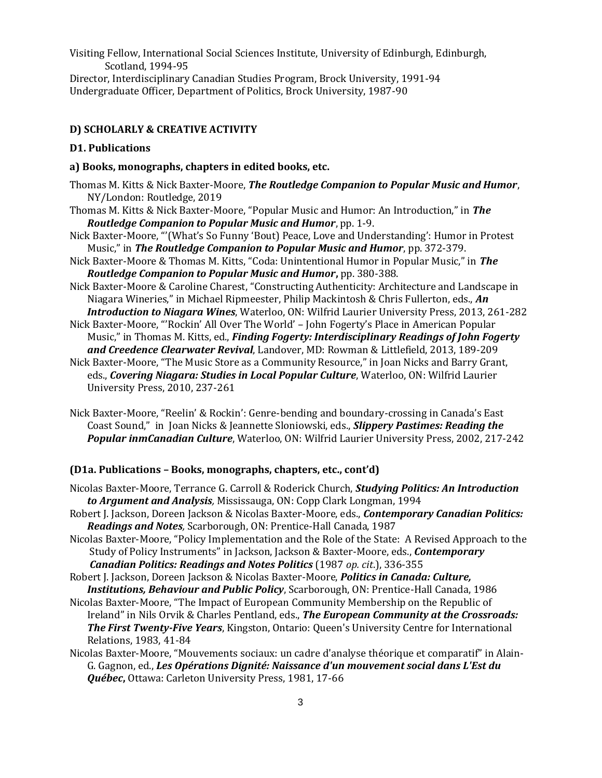Visiting Fellow, International Social Sciences Institute, University of Edinburgh, Edinburgh, Scotland, 1994-95

Director, Interdisciplinary Canadian Studies Program, Brock University, 1991-94 Undergraduate Officer, Department of Politics, Brock University, 1987-90

### **D) SCHOLARLY & CREATIVE ACTIVITY**

#### **D1. Publications**

#### **a) Books, monographs, chapters in edited books, etc.**

- Thomas M. Kitts & Nick Baxter-Moore, *The Routledge Companion to Popular Music and Humor*, NY/London: Routledge, 2019
- Thomas M. Kitts & Nick Baxter-Moore, "Popular Music and Humor: An Introduction," in *The Routledge Companion to Popular Music and Humor*, pp. 1-9.
- Nick Baxter-Moore, "'(What's So Funny 'Bout) Peace, Love and Understanding': Humor in Protest Music," in *The Routledge Companion to Popular Music and Humor*, pp. 372-379.
- Nick Baxter-Moore & Thomas M. Kitts, "Coda: Unintentional Humor in Popular Music," in *The Routledge Companion to Popular Music and Humor***,** pp. 380-388.
- Nick Baxter-Moore & Caroline Charest, "Constructing Authenticity: Architecture and Landscape in Niagara Wineries," in Michael Ripmeester, Philip Mackintosh & Chris Fullerton, eds., *An Introduction to Niagara Wines*, Waterloo, ON: Wilfrid Laurier University Press, 2013, 261-282
- Nick Baxter-Moore, "'Rockin' All Over The World' John Fogerty's Place in American Popular Music," in Thomas M. Kitts, ed., *Finding Fogerty: Interdisciplinary Readings of John Fogerty and Creedence Clearwater Revival*, Landover, MD: Rowman & Littlefield, 2013, 189-209
- Nick Baxter-Moore, "The Music Store as a Community Resource," in Joan Nicks and Barry Grant, eds., *Covering Niagara: Studies in Local Popular Culture*, Waterloo, ON: Wilfrid Laurier University Press, 2010, 237-261
- Nick Baxter-Moore, "Reelin' & Rockin': Genre-bending and boundary-crossing in Canada's East Coast Sound," in Joan Nicks & Jeannette Sloniowski, eds., *Slippery Pastimes: Reading the Popular inmCanadian Culture*, Waterloo, ON: Wilfrid Laurier University Press, 2002, 217-242

### **(D1a. Publications – Books, monographs, chapters, etc., cont'd)**

- Nicolas Baxter-Moore, Terrance G. Carroll & Roderick Church, *Studying Politics: An Introduction to Argument and Analysis,* Mississauga, ON: Copp Clark Longman, 1994
- Robert J. Jackson, Doreen Jackson & Nicolas Baxter-Moore, eds., *Contemporary Canadian Politics: Readings and Notes,* Scarborough, ON: Prentice-Hall Canada, 1987
- Nicolas Baxter-Moore, "Policy Implementation and the Role of the State: A Revised Approach to the Study of Policy Instruments" in Jackson, Jackson & Baxter-Moore, eds., *Contemporary Canadian Politics: Readings and Notes Politics* (1987 *op. cit*.), 336-355
- Robert J. Jackson, Doreen Jackson & Nicolas Baxter-Moore, *Politics in Canada: Culture, Institutions, Behaviour and Public Policy*, Scarborough, ON: Prentice-Hall Canada, 1986
- Nicolas Baxter-Moore, "The Impact of European Community Membership on the Republic of Ireland" in Nils Orvik & Charles Pentland, eds., *The European Community at the Crossroads: The First Twenty-Five Years*, Kingston, Ontario: Queen's University Centre for International Relations, 1983, 41-84
- Nicolas Baxter-Moore, "Mouvements sociaux: un cadre d'analyse théorique et comparatif" in Alain-G. Gagnon, ed., *Les Opérations Dignité: Naissance d'un mouvement social dans L'Est du Québec***,** Ottawa: Carleton University Press, 1981, 17-66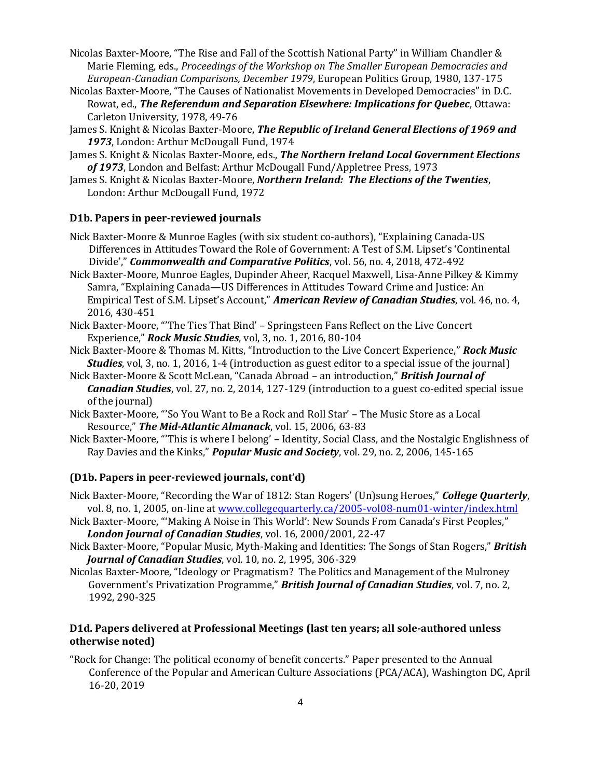- Nicolas Baxter-Moore, "The Rise and Fall of the Scottish National Party" in William Chandler & Marie Fleming, eds., *Proceedings of the Workshop on The Smaller European Democracies and European-Canadian Comparisons, December 1979*, European Politics Group, 1980, 137-175
- Nicolas Baxter-Moore, "The Causes of Nationalist Movements in Developed Democracies" in D.C. Rowat, ed., *The Referendum and Separation Elsewhere: Implications for Quebec*, Ottawa: Carleton University, 1978, 49-76
- James S. Knight & Nicolas Baxter-Moore, *The Republic of Ireland General Elections of 1969 and 1973*, London: Arthur McDougall Fund, 1974
- James S. Knight & Nicolas Baxter-Moore, eds., *The Northern Ireland Local Government Elections of 1973*, London and Belfast: Arthur McDougall Fund/Appletree Press, 1973
- James S. Knight & Nicolas Baxter-Moore, *Northern Ireland: The Elections of the Twenties*, London: Arthur McDougall Fund, 1972

#### **D1b. Papers in peer-reviewed journals**

- Nick Baxter-Moore & Munroe Eagles (with six student co-authors), "Explaining Canada-US Differences in Attitudes Toward the Role of Government: A Test of S.M. Lipset's 'Continental Divide'," *Commonwealth and Comparative Politics*, vol. 56, no. 4, 2018, 472-492
- Nick Baxter-Moore, Munroe Eagles, Dupinder Aheer, Racquel Maxwell, Lisa-Anne Pilkey & Kimmy Samra, "Explaining Canada—US Differences in Attitudes Toward Crime and Justice: An Empirical Test of S.M. Lipset's Account," *American Review of Canadian Studies*, vol. 46, no. 4, 2016, 430-451
- Nick Baxter-Moore, "'The Ties That Bind' Springsteen Fans Reflect on the Live Concert Experience," *Rock Music Studies*, vol, 3, no. 1, 2016, 80-104
- Nick Baxter-Moore & Thomas M. Kitts, "Introduction to the Live Concert Experience," *Rock Music Studies*, vol, 3, no. 1, 2016, 1-4 (introduction as guest editor to a special issue of the journal)
- Nick Baxter-Moore & Scott McLean, "Canada Abroad an introduction," *British Journal of Canadian Studies*, vol. 27, no. 2, 2014, 127-129 (introduction to a guest co-edited special issue of the journal)
- Nick Baxter-Moore, "'So You Want to Be a Rock and Roll Star' The Music Store as a Local Resource," *The Mid-Atlantic Almanack*, vol. 15, 2006, 63-83
- Nick Baxter-Moore, "'This is where I belong' Identity, Social Class, and the Nostalgic Englishness of Ray Davies and the Kinks," *Popular Music and Society*, vol. 29, no. 2, 2006, 145-165

#### **(D1b. Papers in peer-reviewed journals, cont'd)**

- Nick Baxter-Moore, "Recording the War of 1812: Stan Rogers' (Un)sung Heroes," *College Quarterly*, vol. 8, no. 1, 2005, on-line at [www.collegequarterly.ca/2005-vol08-num01-winter/index.html](http://www.collegequarterly.ca/2005-vol08-num01-winter/index.html)
- Nick Baxter-Moore, "'Making A Noise in This World': New Sounds From Canada's First Peoples," *London Journal of Canadian Studies*, vol. 16, 2000/2001, 22-47
- Nick Baxter-Moore, "Popular Music, Myth-Making and Identities: The Songs of Stan Rogers," *British Journal of Canadian Studies*, vol. 10, no. 2, 1995, 306-329
- Nicolas Baxter-Moore, "Ideology or Pragmatism? The Politics and Management of the Mulroney Government's Privatization Programme," *British Journal of Canadian Studies*, vol. 7, no. 2, 1992, 290-325

# **D1d. Papers delivered at Professional Meetings (last ten years; all sole-authored unless otherwise noted)**

"Rock for Change: The political economy of benefit concerts." Paper presented to the Annual Conference of the Popular and American Culture Associations (PCA/ACA), Washington DC, April 16-20, 2019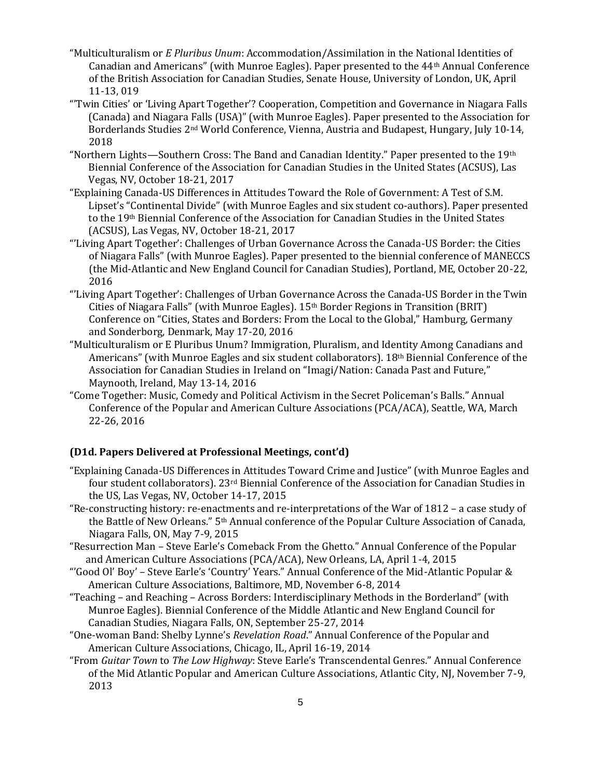- "Multiculturalism or *E Pluribus Unum*: Accommodation/Assimilation in the National Identities of Canadian and Americans" (with Munroe Eagles). Paper presented to the 44th Annual Conference of the British Association for Canadian Studies, Senate House, University of London, UK, April 11-13, 019
- "'Twin Cities' or 'Living Apart Together'? Cooperation, Competition and Governance in Niagara Falls (Canada) and Niagara Falls (USA)" (with Munroe Eagles). Paper presented to the Association for Borderlands Studies 2nd World Conference, Vienna, Austria and Budapest, Hungary, July 10-14, 2018
- "Northern Lights—Southern Cross: The Band and Canadian Identity." Paper presented to the 19th Biennial Conference of the Association for Canadian Studies in the United States (ACSUS), Las Vegas, NV, October 18-21, 2017
- "Explaining Canada-US Differences in Attitudes Toward the Role of Government: A Test of S.M. Lipset's "Continental Divide" (with Munroe Eagles and six student co-authors). Paper presented to the 19th Biennial Conference of the Association for Canadian Studies in the United States (ACSUS), Las Vegas, NV, October 18-21, 2017
- "'Living Apart Together': Challenges of Urban Governance Across the Canada-US Border: the Cities of Niagara Falls" (with Munroe Eagles). Paper presented to the biennial conference of MANECCS (the Mid-Atlantic and New England Council for Canadian Studies), Portland, ME, October 20-22, 2016
- "'Living Apart Together': Challenges of Urban Governance Across the Canada-US Border in the Twin Cities of Niagara Falls" (with Munroe Eagles). 15th Border Regions in Transition (BRIT) Conference on "Cities, States and Borders: From the Local to the Global," Hamburg, Germany and Sonderborg, Denmark, May 17-20, 2016
- "Multiculturalism or E Pluribus Unum? Immigration, Pluralism, and Identity Among Canadians and Americans" (with Munroe Eagles and six student collaborators). 18th Biennial Conference of the Association for Canadian Studies in Ireland on "Imagi/Nation: Canada Past and Future," Maynooth, Ireland, May 13-14, 2016
- "Come Together: Music, Comedy and Political Activism in the Secret Policeman's Balls." Annual Conference of the Popular and American Culture Associations (PCA/ACA), Seattle, WA, March 22-26, 2016

## **(D1d. Papers Delivered at Professional Meetings, cont'd)**

- "Explaining Canada-US Differences in Attitudes Toward Crime and Justice" (with Munroe Eagles and four student collaborators). 23rd Biennial Conference of the Association for Canadian Studies in the US, Las Vegas, NV, October 14-17, 2015
- "Re-constructing history: re-enactments and re-interpretations of the War of 1812 a case study of the Battle of New Orleans." 5th Annual conference of the Popular Culture Association of Canada, Niagara Falls, ON, May 7-9, 2015
- "Resurrection Man Steve Earle's Comeback From the Ghetto." Annual Conference of the Popular and American Culture Associations (PCA/ACA), New Orleans, LA, April 1-4, 2015
- "'Good Ol' Boy' Steve Earle's 'Country' Years." Annual Conference of the Mid-Atlantic Popular & American Culture Associations, Baltimore, MD, November 6-8, 2014
- "Teaching and Reaching Across Borders: Interdisciplinary Methods in the Borderland" (with Munroe Eagles). Biennial Conference of the Middle Atlantic and New England Council for Canadian Studies, Niagara Falls, ON, September 25-27, 2014
- "One-woman Band: Shelby Lynne's *Revelation Road*." Annual Conference of the Popular and American Culture Associations, Chicago, IL, April 16-19, 2014
- "From *Guitar Town* to *The Low Highway*: Steve Earle's Transcendental Genres." Annual Conference of the Mid Atlantic Popular and American Culture Associations, Atlantic City, NJ, November 7-9, 2013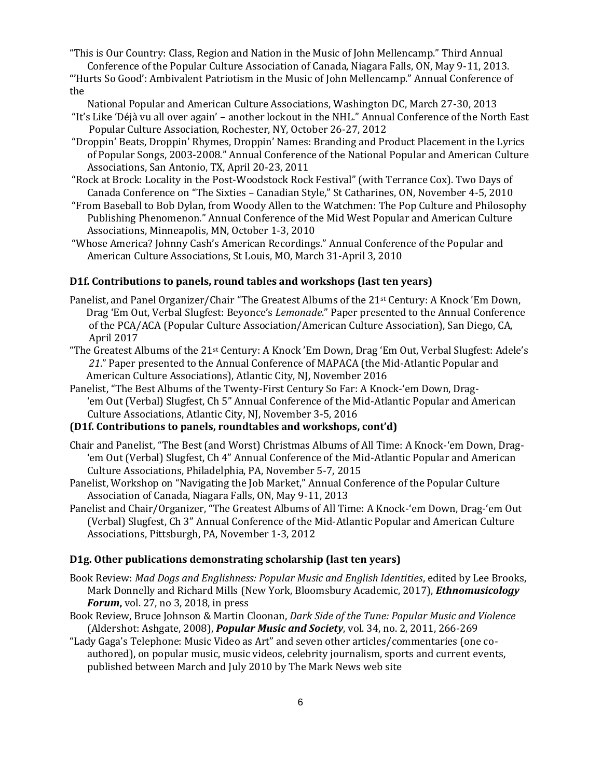"This is Our Country: Class, Region and Nation in the Music of John Mellencamp." Third Annual Conference of the Popular Culture Association of Canada, Niagara Falls, ON, May 9-11, 2013.

"'Hurts So Good': Ambivalent Patriotism in the Music of John Mellencamp." Annual Conference of the

National Popular and American Culture Associations, Washington DC, March 27-30, 2013

- "It's Like 'Déjà vu all over again' another lockout in the NHL." Annual Conference of the North East Popular Culture Association, Rochester, NY, October 26-27, 2012
- "Droppin' Beats, Droppin' Rhymes, Droppin' Names: Branding and Product Placement in the Lyrics of Popular Songs, 2003-2008." Annual Conference of the National Popular and American Culture Associations, San Antonio, TX, April 20-23, 2011
- "Rock at Brock: Locality in the Post-Woodstock Rock Festival" (with Terrance Cox). Two Days of Canada Conference on "The Sixties – Canadian Style," St Catharines, ON, November 4-5, 2010
- "From Baseball to Bob Dylan, from Woody Allen to the Watchmen: The Pop Culture and Philosophy Publishing Phenomenon." Annual Conference of the Mid West Popular and American Culture Associations, Minneapolis, MN, October 1-3, 2010
- "Whose America? Johnny Cash's American Recordings." Annual Conference of the Popular and American Culture Associations, St Louis, MO, March 31-April 3, 2010

## **D1f. Contributions to panels, round tables and workshops (last ten years)**

- Panelist, and Panel Organizer/Chair "The Greatest Albums of the 21<sup>st</sup> Century: A Knock 'Em Down, Drag 'Em Out, Verbal Slugfest: Beyonce's *Lemonade*." Paper presented to the Annual Conference of the PCA/ACA (Popular Culture Association/American Culture Association), San Diego, CA, April 2017
- "The Greatest Albums of the 21st Century: A Knock 'Em Down, Drag 'Em Out, Verbal Slugfest: Adele's *21*." Paper presented to the Annual Conference of MAPACA (the Mid-Atlantic Popular and American Culture Associations), Atlantic City, NJ, November 2016
- Panelist, "The Best Albums of the Twenty-First Century So Far: A Knock-'em Down, Drag- 'em Out (Verbal) Slugfest, Ch 5" Annual Conference of the Mid-Atlantic Popular and American Culture Associations, Atlantic City, NJ, November 3-5, 2016

# **(D1f. Contributions to panels, roundtables and workshops, cont'd)**

- Chair and Panelist, "The Best (and Worst) Christmas Albums of All Time: A Knock-'em Down, Drag- 'em Out (Verbal) Slugfest, Ch 4" Annual Conference of the Mid-Atlantic Popular and American Culture Associations, Philadelphia, PA, November 5-7, 2015
- Panelist, Workshop on "Navigating the Job Market," Annual Conference of the Popular Culture Association of Canada, Niagara Falls, ON, May 9-11, 2013
- Panelist and Chair/Organizer, "The Greatest Albums of All Time: A Knock-'em Down, Drag-'em Out (Verbal) Slugfest, Ch 3" Annual Conference of the Mid-Atlantic Popular and American Culture Associations, Pittsburgh, PA, November 1-3, 2012

### **D1g. Other publications demonstrating scholarship (last ten years)**

- Book Review: *Mad Dogs and Englishness: Popular Music and English Identities*, edited by Lee Brooks, Mark Donnelly and Richard Mills (New York, Bloomsbury Academic, 2017), *Ethnomusicology Forum***,** vol. 27, no 3, 2018, in press
- Book Review, Bruce Johnson & Martin Cloonan, *Dark Side of the Tune: Popular Music and Violence* (Aldershot: Ashgate, 2008), *Popular Music and Society*, vol. 34, no. 2, 2011, 266-269
- "Lady Gaga's Telephone: Music Video as Art" and seven other articles/commentaries (one coauthored), on popular music, music videos, celebrity journalism, sports and current events, published between March and July 2010 by The Mark News web site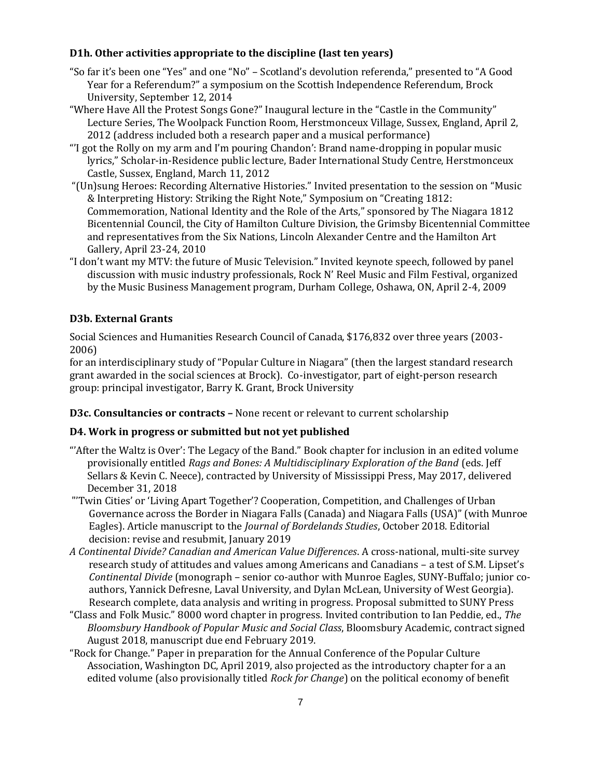# **D1h. Other activities appropriate to the discipline (last ten years)**

- "So far it's been one "Yes" and one "No" Scotland's devolution referenda," presented to "A Good Year for a Referendum?" a symposium on the Scottish Independence Referendum, Brock University, September 12, 2014
- "Where Have All the Protest Songs Gone?" Inaugural lecture in the "Castle in the Community" Lecture Series, The Woolpack Function Room, Herstmonceux Village, Sussex, England, April 2, 2012 (address included both a research paper and a musical performance)
- "'I got the Rolly on my arm and I'm pouring Chandon': Brand name-dropping in popular music lyrics," Scholar-in-Residence public lecture, Bader International Study Centre, Herstmonceux Castle, Sussex, England, March 11, 2012
- "(Un)sung Heroes: Recording Alternative Histories." Invited presentation to the session on "Music & Interpreting History: Striking the Right Note," Symposium on "Creating 1812: Commemoration, National Identity and the Role of the Arts," sponsored by The Niagara 1812 Bicentennial Council, the City of Hamilton Culture Division, the Grimsby Bicentennial Committee and representatives from the Six Nations, Lincoln Alexander Centre and the Hamilton Art Gallery, April 23-24, 2010
- "I don't want my MTV: the future of Music Television." Invited keynote speech, followed by panel discussion with music industry professionals, Rock N' Reel Music and Film Festival, organized by the Music Business Management program, Durham College, Oshawa, ON, April 2-4, 2009

# **D3b. External Grants**

Social Sciences and Humanities Research Council of Canada, \$176,832 over three years (2003- 2006)

for an interdisciplinary study of "Popular Culture in Niagara" (then the largest standard research grant awarded in the social sciences at Brock). Co-investigator, part of eight-person research group: principal investigator, Barry K. Grant, Brock University

**D3c. Consultancies or contracts –** None recent or relevant to current scholarship

# **D4. Work in progress or submitted but not yet published**

- "'After the Waltz is Over': The Legacy of the Band." Book chapter for inclusion in an edited volume provisionally entitled *Rags and Bones: A Multidisciplinary Exploration of the Band* (eds. Jeff Sellars & Kevin C. Neece), contracted by University of Mississippi Press, May 2017, delivered December 31, 2018
- "'Twin Cities' or 'Living Apart Together'? Cooperation, Competition, and Challenges of Urban Governance across the Border in Niagara Falls (Canada) and Niagara Falls (USA)" (with Munroe Eagles). Article manuscript to the *Journal of Bordelands Studies*, October 2018. Editorial decision: revise and resubmit, January 2019
- *A Continental Divide? Canadian and American Value Differences*. A cross-national, multi-site survey research study of attitudes and values among Americans and Canadians – a test of S.M. Lipset's *Continental Divide* (monograph – senior co-author with Munroe Eagles, SUNY-Buffalo; junior coauthors, Yannick Defresne, Laval University, and Dylan McLean, University of West Georgia). Research complete, data analysis and writing in progress. Proposal submitted to SUNY Press
- "Class and Folk Music." 8000 word chapter in progress. Invited contribution to Ian Peddie, ed., *The Bloomsbury Handbook of Popular Music and Social Class*, Bloomsbury Academic, contract signed August 2018, manuscript due end February 2019.
- "Rock for Change." Paper in preparation for the Annual Conference of the Popular Culture Association, Washington DC, April 2019, also projected as the introductory chapter for a an edited volume (also provisionally titled *Rock for Change*) on the political economy of benefit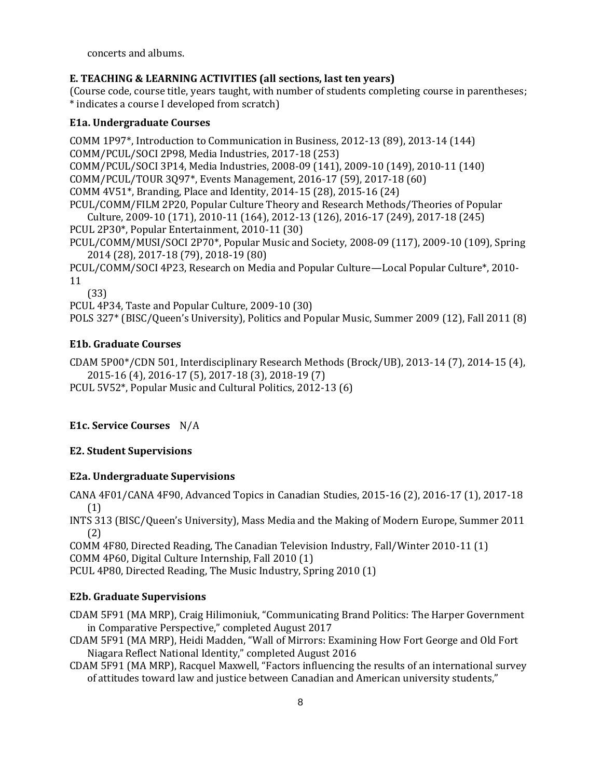concerts and albums.

# **E. TEACHING & LEARNING ACTIVITIES (all sections, last ten years)**

(Course code, course title, years taught, with number of students completing course in parentheses; \* indicates a course I developed from scratch)

# **E1a. Undergraduate Courses**

COMM 1P97\*, Introduction to Communication in Business, 2012-13 (89), 2013-14 (144) COMM/PCUL/SOCI 2P98, Media Industries, 2017-18 (253) COMM/PCUL/SOCI 3P14, Media Industries, 2008-09 (141), 2009-10 (149), 2010-11 (140) COMM/PCUL/TOUR 3Q97\*, Events Management, 2016-17 (59), 2017-18 (60) COMM 4V51\*, Branding, Place and Identity, 2014-15 (28), 2015-16 (24) PCUL/COMM/FILM 2P20, Popular Culture Theory and Research Methods/Theories of Popular Culture, 2009-10 (171), 2010-11 (164), 2012-13 (126), 2016-17 (249), 2017-18 (245) PCUL 2P30\*, Popular Entertainment, 2010-11 (30) PCUL/COMM/MUSI/SOCI 2P70\*, Popular Music and Society, 2008-09 (117), 2009-10 (109), Spring 2014 (28), 2017-18 (79), 2018-19 (80) PCUL/COMM/SOCI 4P23, Research on Media and Popular Culture—Local Popular Culture\*, 2010- 11 (33)

PCUL 4P34, Taste and Popular Culture, 2009-10 (30) POLS 327\* (BISC/Queen's University), Politics and Popular Music, Summer 2009 (12), Fall 2011 (8)

# **E1b. Graduate Courses**

CDAM 5P00\*/CDN 501, Interdisciplinary Research Methods (Brock/UB), 2013-14 (7), 2014-15 (4), 2015-16 (4), 2016-17 (5), 2017-18 (3), 2018-19 (7) PCUL 5V52\*, Popular Music and Cultural Politics, 2012-13 (6)

# **E1c. Service Courses** N/A

# **E2. Student Supervisions**

## **E2a. Undergraduate Supervisions**

CANA 4F01/CANA 4F90, Advanced Topics in Canadian Studies, 2015-16 (2), 2016-17 (1), 2017-18 (1)

INTS 313 (BISC/Queen's University), Mass Media and the Making of Modern Europe, Summer 2011 (2)

COMM 4F80, Directed Reading, The Canadian Television Industry, Fall/Winter 2010-11 (1) COMM 4P60, Digital Culture Internship, Fall 2010 (1)

PCUL 4P80, Directed Reading, The Music Industry, Spring 2010 (1)

# **E2b. Graduate Supervisions**

CDAM 5F91 (MA MRP), Craig Hilimoniuk, "Communicating Brand Politics: The Harper Government in Comparative Perspective," completed August 2017

CDAM 5F91 (MA MRP), Heidi Madden, "Wall of Mirrors: Examining How Fort George and Old Fort Niagara Reflect National Identity," completed August 2016

CDAM 5F91 (MA MRP), Racquel Maxwell, "Factors influencing the results of an international survey of attitudes toward law and justice between Canadian and American university students,"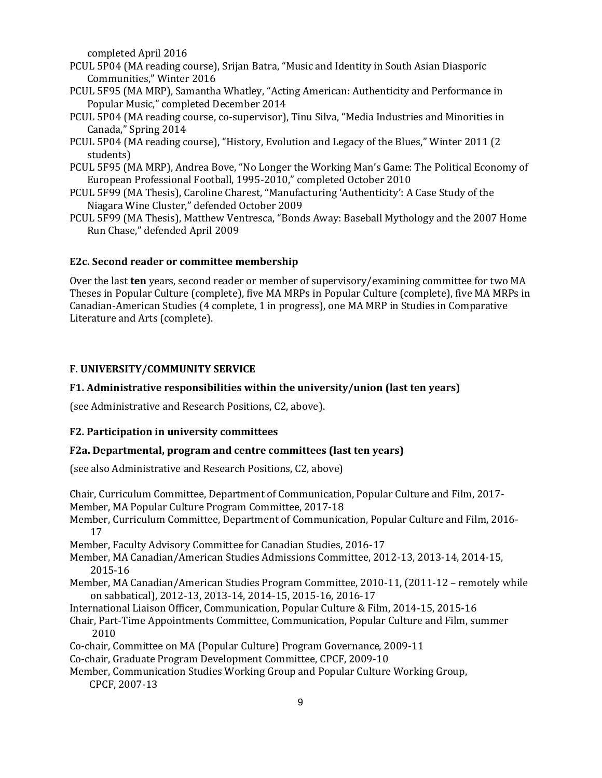completed April 2016

- PCUL 5P04 (MA reading course), Srijan Batra, "Music and Identity in South Asian Diasporic Communities," Winter 2016
- PCUL 5F95 (MA MRP), Samantha Whatley, "Acting American: Authenticity and Performance in Popular Music," completed December 2014
- PCUL 5P04 (MA reading course, co-supervisor), Tinu Silva, "Media Industries and Minorities in Canada," Spring 2014
- PCUL 5P04 (MA reading course), "History, Evolution and Legacy of the Blues," Winter 2011 (2 students)
- PCUL 5F95 (MA MRP), Andrea Bove, "No Longer the Working Man's Game: The Political Economy of European Professional Football, 1995-2010," completed October 2010
- PCUL 5F99 (MA Thesis), Caroline Charest, "Manufacturing 'Authenticity': A Case Study of the Niagara Wine Cluster," defended October 2009
- PCUL 5F99 (MA Thesis), Matthew Ventresca, "Bonds Away: Baseball Mythology and the 2007 Home Run Chase," defended April 2009

#### **E2c. Second reader or committee membership**

Over the last **ten** years, second reader or member of supervisory/examining committee for two MA Theses in Popular Culture (complete), five MA MRPs in Popular Culture (complete), five MA MRPs in Canadian-American Studies (4 complete, 1 in progress), one MA MRP in Studies in Comparative Literature and Arts (complete).

### **F. UNIVERSITY/COMMUNITY SERVICE**

#### **F1. Administrative responsibilities within the university/union (last ten years)**

(see Administrative and Research Positions, C2, above).

### **F2. Participation in university committees**

#### **F2a. Departmental, program and centre committees (last ten years)**

(see also Administrative and Research Positions, C2, above)

9 Chair, Curriculum Committee, Department of Communication, Popular Culture and Film, 2017- Member, MA Popular Culture Program Committee, 2017-18 Member, Curriculum Committee, Department of Communication, Popular Culture and Film, 2016- 17 Member, Faculty Advisory Committee for Canadian Studies, 2016-17 Member, MA Canadian/American Studies Admissions Committee, 2012-13, 2013-14, 2014-15, 2015-16 Member, MA Canadian/American Studies Program Committee, 2010-11, (2011-12 – remotely while on sabbatical), 2012-13, 2013-14, 2014-15, 2015-16, 2016-17 International Liaison Officer, Communication, Popular Culture & Film, 2014-15, 2015-16 Chair, Part-Time Appointments Committee, Communication, Popular Culture and Film, summer 2010 Co-chair, Committee on MA (Popular Culture) Program Governance, 2009-11 Co-chair, Graduate Program Development Committee, CPCF, 2009-10 Member, Communication Studies Working Group and Popular Culture Working Group, CPCF, 2007-13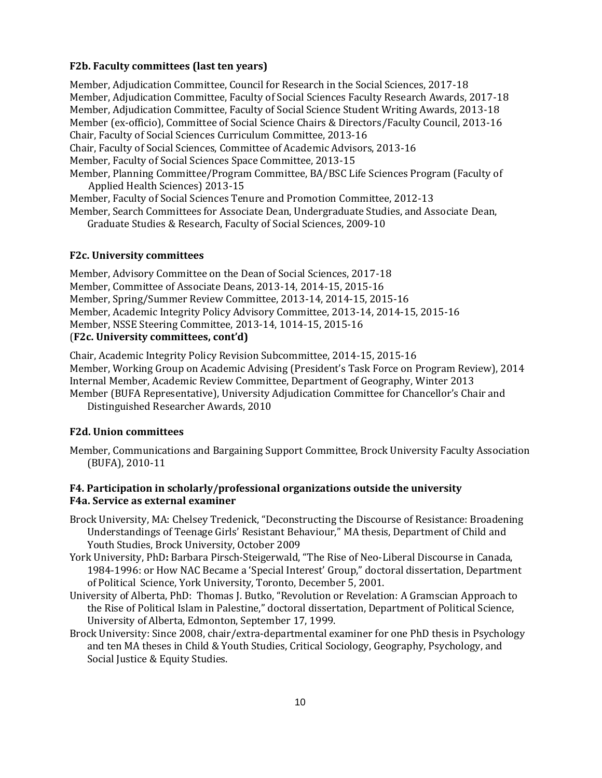#### **F2b. Faculty committees (last ten years)**

Member, Adjudication Committee, Council for Research in the Social Sciences, 2017-18 Member, Adjudication Committee, Faculty of Social Sciences Faculty Research Awards, 2017-18 Member, Adjudication Committee, Faculty of Social Science Student Writing Awards, 2013-18 Member (ex-officio), Committee of Social Science Chairs & Directors/Faculty Council, 2013-16 Chair, Faculty of Social Sciences Curriculum Committee, 2013-16 Chair, Faculty of Social Sciences, Committee of Academic Advisors, 2013-16 Member, Faculty of Social Sciences Space Committee, 2013-15 Member, Planning Committee/Program Committee, BA/BSC Life Sciences Program (Faculty of Applied Health Sciences) 2013-15 Member, Faculty of Social Sciences Tenure and Promotion Committee, 2012-13 Member, Search Committees for Associate Dean, Undergraduate Studies, and Associate Dean,

Graduate Studies & Research, Faculty of Social Sciences, 2009-10

### **F2c. University committees**

Member, Advisory Committee on the Dean of Social Sciences, 2017-18 Member, Committee of Associate Deans, 2013-14, 2014-15, 2015-16 Member, Spring/Summer Review Committee, 2013-14, 2014-15, 2015-16 Member, Academic Integrity Policy Advisory Committee, 2013-14, 2014-15, 2015-16 Member, NSSE Steering Committee, 2013-14, 1014-15, 2015-16 (**F2c. University committees, cont'd)**

Chair, Academic Integrity Policy Revision Subcommittee, 2014-15, 2015-16 Member, Working Group on Academic Advising (President's Task Force on Program Review), 2014 Internal Member, Academic Review Committee, Department of Geography, Winter 2013 Member (BUFA Representative), University Adjudication Committee for Chancellor's Chair and Distinguished Researcher Awards, 2010

### **F2d. Union committees**

Member, Communications and Bargaining Support Committee, Brock University Faculty Association (BUFA), 2010-11

### **F4. Participation in scholarly/professional organizations outside the university F4a. Service as external examiner**

- Brock University, MA: Chelsey Tredenick, "Deconstructing the Discourse of Resistance: Broadening Understandings of Teenage Girls' Resistant Behaviour," MA thesis, Department of Child and Youth Studies, Brock University, October 2009
- York University, PhD**:** Barbara Pirsch-Steigerwald, "The Rise of Neo-Liberal Discourse in Canada, 1984-1996: or How NAC Became a 'Special Interest' Group," doctoral dissertation, Department of Political Science, York University, Toronto, December 5, 2001.
- University of Alberta, PhD: Thomas J. Butko, "Revolution or Revelation: A Gramscian Approach to the Rise of Political Islam in Palestine," doctoral dissertation, Department of Political Science, University of Alberta, Edmonton, September 17, 1999.
- Brock University: Since 2008, chair/extra-departmental examiner for one PhD thesis in Psychology and ten MA theses in Child & Youth Studies, Critical Sociology, Geography, Psychology, and Social Justice & Equity Studies.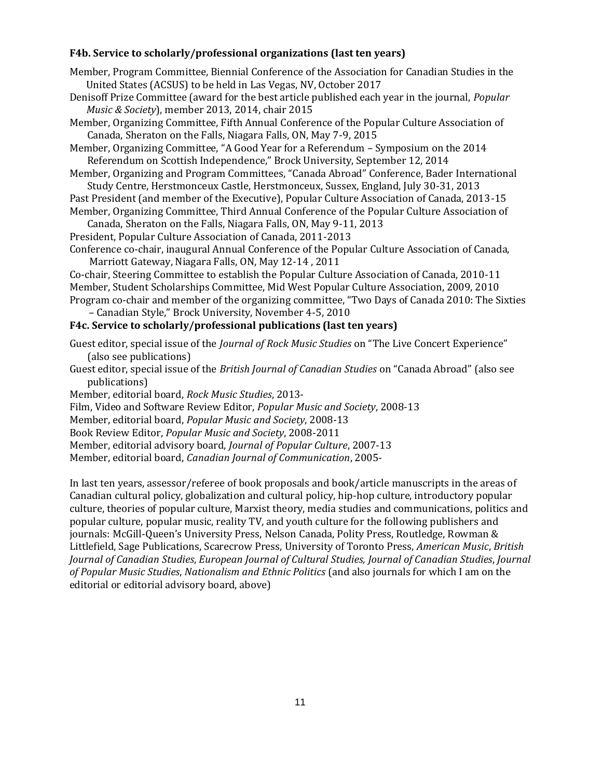## **F4b. Service to scholarly/professional organizations (last ten years)**

Member, Program Committee, Biennial Conference of the Association for Canadian Studies in the United States (ACSUS) to be held in Las Vegas, NV, October 2017

Denisoff Prize Committee (award for the best article published each year in the journal, *Popular Music & Society*), member 2013, 2014, chair 2015

Member, Organizing Committee, Fifth Annual Conference of the Popular Culture Association of Canada, Sheraton on the Falls, Niagara Falls, ON, May 7-9, 2015

Member, Organizing Committee, "A Good Year for a Referendum – Symposium on the 2014 Referendum on Scottish Independence," Brock University, September 12, 2014

Member, Organizing and Program Committees, "Canada Abroad" Conference, Bader International Study Centre, Herstmonceux Castle, Herstmonceux, Sussex, England, July 30-31, 2013

Past President (and member of the Executive), Popular Culture Association of Canada, 2013-15 Member, Organizing Committee, Third Annual Conference of the Popular Culture Association of

Canada, Sheraton on the Falls, Niagara Falls, ON, May 9-11, 2013

President, Popular Culture Association of Canada, 2011-2013

Conference co-chair, inaugural Annual Conference of the Popular Culture Association of Canada, Marriott Gateway, Niagara Falls, ON, May 12-14 , 2011

Co-chair, Steering Committee to establish the Popular Culture Association of Canada, 2010-11 Member, Student Scholarships Committee, Mid West Popular Culture Association, 2009, 2010 Program co-chair and member of the organizing committee, "Two Days of Canada 2010: The Sixties – Canadian Style," Brock University, November 4-5, 2010

# **F4c. Service to scholarly/professional publications (last ten years)**

Guest editor, special issue of the *Journal of Rock Music Studies* on "The Live Concert Experience" (also see publications)

Guest editor, special issue of the *British Journal of Canadian Studies* on "Canada Abroad" (also see publications)

Member, editorial board, *Rock Music Studies*, 2013-

Film, Video and Software Review Editor, *Popular Music and Society*, 2008-13

Member, editorial board, *Popular Music and Society*, 2008-13

Book Review Editor, *Popular Music and Society*, 2008-2011

Member, editorial advisory board, *Journal of Popular Culture*, 2007-13

Member, editorial board, *Canadian Journal of Communication*, 2005-

In last ten years, assessor/referee of book proposals and book/article manuscripts in the areas of Canadian cultural policy, globalization and cultural policy, hip-hop culture, introductory popular culture, theories of popular culture, Marxist theory, media studies and communications, politics and popular culture, popular music, reality TV, and youth culture for the following publishers and journals: McGill-Queen's University Press, Nelson Canada, Polity Press, Routledge, Rowman & Littlefield, Sage Publications, Scarecrow Press, University of Toronto Press, *American Music*, *British Journal of Canadian Studies*, *European Journal of Cultural Studies, Journal of Canadian Studies*, *Journal of Popular Music Studies*, *Nationalism and Ethnic Politics* (and also journals for which I am on the editorial or editorial advisory board, above)